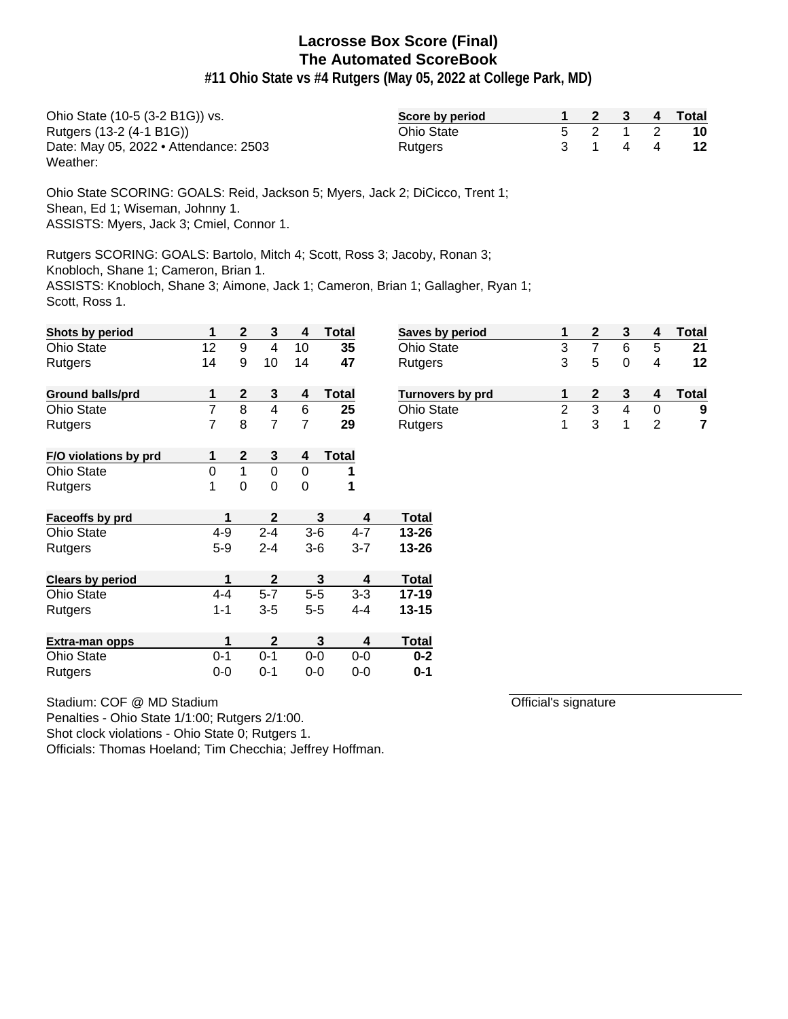**#11 Ohio State vs #4 Rutgers (May 05, 2022 at College Park, MD)**

| Ohio State (10-5 (3-2 B1G)) vs.       | Score by period   |  |         | 2 3 4 Total              |
|---------------------------------------|-------------------|--|---------|--------------------------|
| Rutgers (13-2 (4-1 B1G))              | <b>Ohio State</b> |  | 5 2 1 2 | 10                       |
| Date: May 05, 2022 • Attendance: 2503 | <b>Rutgers</b>    |  | 3 1 4 4 | $\overline{\mathbf{12}}$ |
| Weather:                              |                   |  |         |                          |

Ohio State SCORING: GOALS: Reid, Jackson 5; Myers, Jack 2; DiCicco, Trent 1; Shean, Ed 1; Wiseman, Johnny 1. ASSISTS: Myers, Jack 3; Cmiel, Connor 1.

Rutgers SCORING: GOALS: Bartolo, Mitch 4; Scott, Ross 3; Jacoby, Ronan 3;

Knobloch, Shane 1; Cameron, Brian 1.

ASSISTS: Knobloch, Shane 3; Aimone, Jack 1; Cameron, Brian 1; Gallagher, Ryan 1; Scott, Ross 1.

| Shots by period         | 1              | $\mathbf 2$      | $\mathbf{3}$   | 4           | <b>Total</b> | Saves by period   | 1              | $\mathbf{2}$   | 3              | 4              | <b>Total</b> |
|-------------------------|----------------|------------------|----------------|-------------|--------------|-------------------|----------------|----------------|----------------|----------------|--------------|
| <b>Ohio State</b>       | 12             | $\boldsymbol{9}$ | $\overline{4}$ | 10          | 35           | Ohio State        | 3              | $\overline{7}$ | 6              | 5              | 21           |
| Rutgers                 | 14             | 9                | 10             | 14          | 47           | Rutgers           | 3              | 5              | $\mathbf 0$    | 4              | 12           |
| <b>Ground balls/prd</b> | 1              | $\mathbf{2}$     | 3              | 4           | <b>Total</b> | Turnovers by prd  | 1              | $\mathbf{2}$   | 3              | 4              | Total        |
| <b>Ohio State</b>       | $\overline{7}$ | 8                | $\overline{4}$ | 6           | 25           | <b>Ohio State</b> | $\overline{2}$ | 3              | $\overline{4}$ | $\mathbf 0$    | 9            |
| Rutgers                 | 7              | 8                | $\overline{7}$ | 7           | 29           | Rutgers           | 1              | 3              | 1              | $\overline{2}$ | 7            |
| F/O violations by prd   |                | $\boldsymbol{2}$ | $\mathbf{3}$   | 4           | <b>Total</b> |                   |                |                |                |                |              |
| <b>Ohio State</b>       | $\Omega$       | 1                | $\mathbf 0$    | $\Omega$    | 1            |                   |                |                |                |                |              |
| Rutgers                 | 1              | $\mathbf 0$      | $\mathbf 0$    | $\mathbf 0$ | 1            |                   |                |                |                |                |              |
| Faceoffs by prd         |                | 1                | $\mathbf{2}$   |             | 3<br>4       | <b>Total</b>      |                |                |                |                |              |
| <b>Ohio State</b>       | $4 - 9$        |                  | $2 - 4$        | $3-6$       | $4 - 7$      | $13 - 26$         |                |                |                |                |              |
| Rutgers                 | $5-9$          |                  | $2 - 4$        | $3-6$       | $3 - 7$      | $13 - 26$         |                |                |                |                |              |
| <b>Clears by period</b> |                | 1                | $\mathbf{2}$   |             | 3<br>4       | <b>Total</b>      |                |                |                |                |              |
| <b>Ohio State</b>       | $4 - 4$        |                  | $5-7$          | $5-5$       | $3 - 3$      | $17 - 19$         |                |                |                |                |              |
| Rutgers                 | $1 - 1$        |                  | $3 - 5$        | $5-5$       | $4 - 4$      | $13 - 15$         |                |                |                |                |              |
| Extra-man opps          |                | 1                | $\mathbf{2}$   |             | 3<br>4       | <b>Total</b>      |                |                |                |                |              |
| <b>Ohio State</b>       | $0 - 1$        |                  | $0 - 1$        | $0-0$       | $0-0$        | $0 - 2$           |                |                |                |                |              |
| Rutgers                 | $0-0$          |                  | $0 - 1$        | $0-0$       | $0-0$        | $0 - 1$           |                |                |                |                |              |

| <b>Ohio State</b>       | З |   | 6 | 5 | 21    |
|-------------------------|---|---|---|---|-------|
| Rutgers                 | 3 | 5 |   |   | 12    |
|                         |   |   |   |   |       |
| <b>Turnovers by prd</b> |   | 2 |   |   | Total |
| <b>Ohio State</b>       | 2 | з |   |   | 9     |
| Rutgers                 |   | 3 |   |   |       |
|                         |   |   |   |   |       |

Official's signature

Stadium: COF @ MD Stadium

Penalties - Ohio State 1/1:00; Rutgers 2/1:00.

Shot clock violations - Ohio State 0; Rutgers 1.

Officials: Thomas Hoeland; Tim Checchia; Jeffrey Hoffman.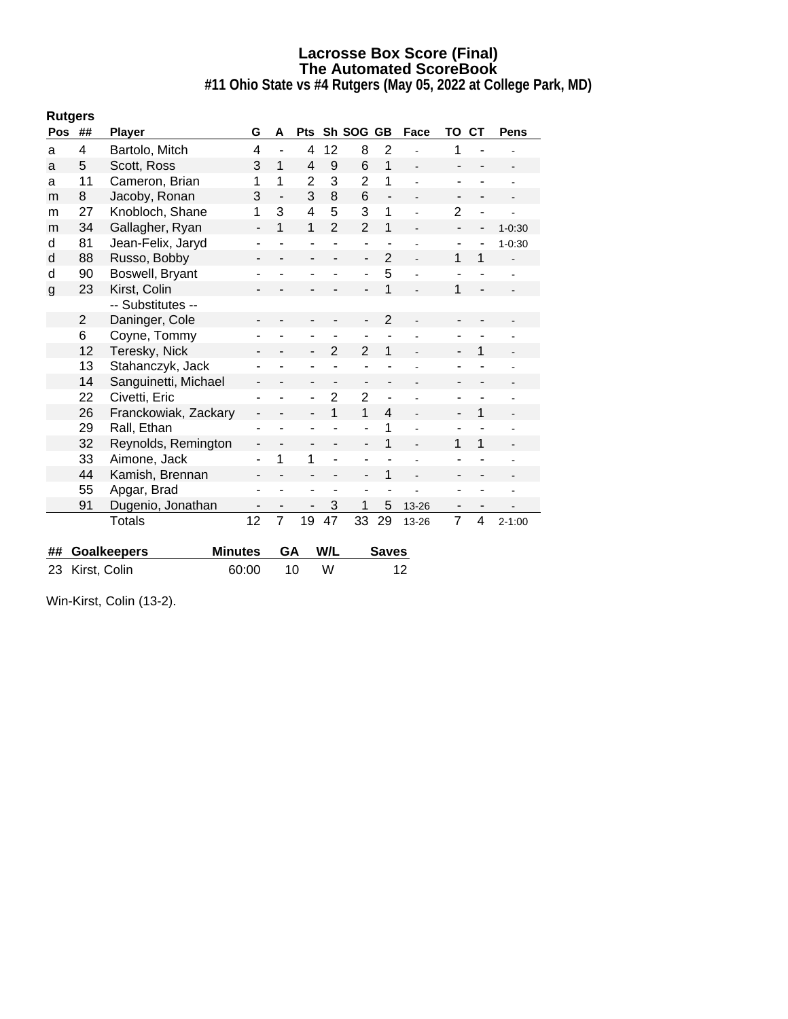**#11 Ohio State vs #4 Rutgers (May 05, 2022 at College Park, MD)**

| <b>Pos</b>   | ##             | <b>Player</b>        | G                        | A              | <b>Pts</b>     |                | Sh SOG GB                |                          | Face  | TO             | <b>CT</b>               | Pens       |
|--------------|----------------|----------------------|--------------------------|----------------|----------------|----------------|--------------------------|--------------------------|-------|----------------|-------------------------|------------|
| a            | 4              | Bartolo, Mitch       | 4                        | $\blacksquare$ | 4              | 12             | 8                        | $\overline{2}$           |       | 1              |                         |            |
| a            | 5              | Scott, Ross          | 3                        | $\mathbf{1}$   | 4              | 9              | 6                        | 1                        |       |                |                         |            |
| a            | 11             | Cameron, Brian       | 1                        | 1              | $\overline{2}$ | 3              | $\overline{2}$           | 1                        | ä,    |                |                         |            |
| m            | 8              | Jacoby, Ronan        | 3                        |                | 3              | 8              | 6                        | $\overline{\phantom{a}}$ |       |                |                         |            |
| m            | 27             | Knobloch, Shane      | 1                        | 3              | 4              | 5              | 3                        | 1                        |       | $\overline{2}$ | ä,                      |            |
| m            | 34             | Gallagher, Ryan      | $\overline{\phantom{a}}$ | 1              | $\mathbf{1}$   | $\overline{2}$ | $\overline{2}$           | 1                        |       |                | -                       | $1 - 0:30$ |
| d            | 81             | Jean-Felix, Jaryd    | ۰                        |                |                |                | $\blacksquare$           |                          |       |                |                         | $1 - 0:30$ |
| d            | 88             | Russo, Bobby         | -                        |                |                | ÷,             | -                        | $\overline{2}$           |       | 1              | 1                       |            |
| d            | 90             | Boswell, Bryant      |                          |                |                |                |                          | 5                        |       |                |                         |            |
| $\mathbf{g}$ | 23             | Kirst, Colin         |                          |                |                |                |                          | 1                        |       | 1              |                         |            |
|              |                | -- Substitutes --    |                          |                |                |                |                          |                          |       |                |                         |            |
|              | $\overline{2}$ | Daninger, Cole       |                          |                |                |                |                          | $\overline{2}$           |       |                |                         |            |
|              | 6              | Coyne, Tommy         |                          |                |                |                |                          |                          |       |                |                         |            |
|              | 12             | Teresky, Nick        |                          |                | -              | $\overline{2}$ | $\overline{2}$           | 1                        |       |                |                         |            |
|              | 13             | Stahanczyk, Jack     |                          |                |                |                |                          |                          |       |                |                         |            |
|              | 14             | Sanguinetti, Michael | $\overline{\phantom{0}}$ |                |                | -              | $\overline{\phantom{0}}$ | -                        |       |                |                         |            |
|              | 22             | Civetti, Eric        |                          |                |                | 2              | $\overline{2}$           | ÷,                       |       |                |                         |            |
|              | 26             | Franckowiak, Zackary | $\blacksquare$           |                |                | 1              | 1                        | $\overline{\mathbf{4}}$  |       |                | 1                       |            |
|              | 29             | Rall, Ethan          |                          |                |                |                |                          | 1                        |       |                |                         |            |
|              | 32             | Reynolds, Remington  |                          |                |                |                |                          | 1                        |       | 1              | 1                       |            |
|              | 33             | Aimone, Jack         |                          | 1              | 1              |                |                          |                          |       |                |                         |            |
|              | 44             | Kamish, Brennan      | -                        |                |                |                | -                        | 1                        |       |                |                         |            |
|              | 55             | Apgar, Brad          |                          |                |                |                |                          |                          |       |                |                         |            |
|              | 91             | Dugenio, Jonathan    |                          |                |                | 3              | 1                        | 5                        | 13-26 |                |                         |            |
|              |                | <b>Totals</b>        | 12                       | $\overline{7}$ | 19             | 47             | 33                       | 29                       | 13-26 | 7              | $\overline{\mathbf{4}}$ | $2 - 1:00$ |

| ## Goalkeepers  | Minutes GA W/L |     |     | Saves |
|-----------------|----------------|-----|-----|-------|
| 23 Kirst, Colin | 60:00          | 10. | - W | 12.   |

Win-Kirst, Colin (13-2).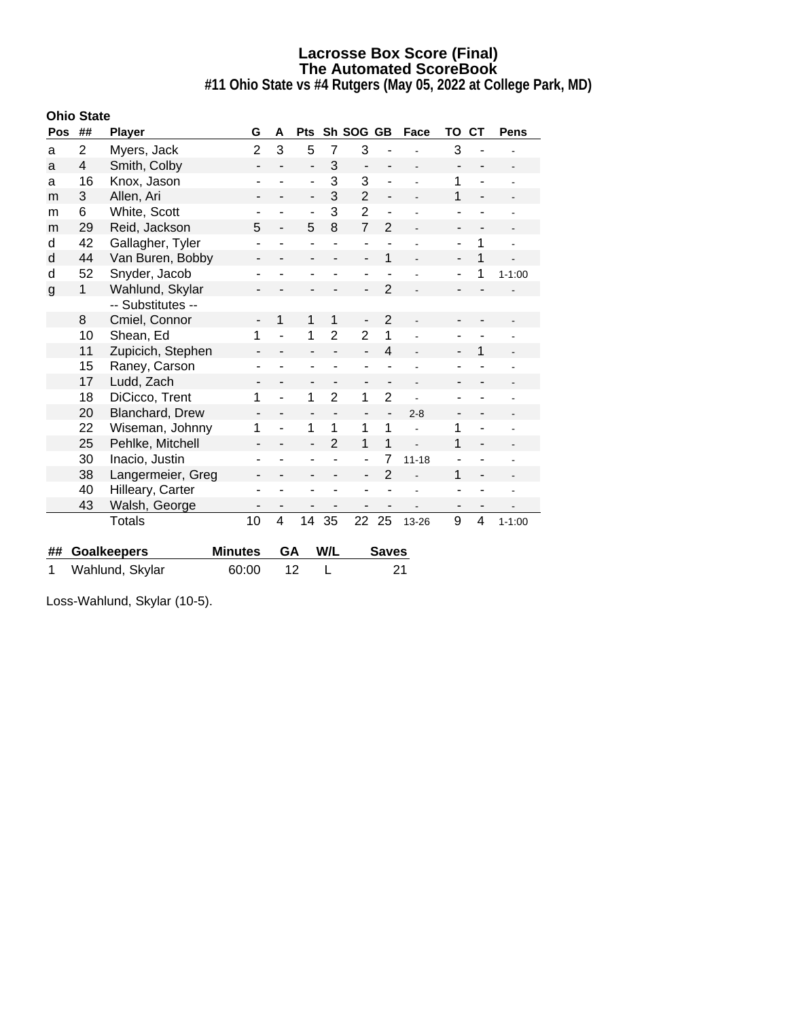**#11 Ohio State vs #4 Rutgers (May 05, 2022 at College Park, MD)**

| <b>Ohio State</b> |                |                    |                              |                          |                              |                          |                              |                              |                          |                          |                          |                |
|-------------------|----------------|--------------------|------------------------------|--------------------------|------------------------------|--------------------------|------------------------------|------------------------------|--------------------------|--------------------------|--------------------------|----------------|
| Pos               | ##             | <b>Player</b>      | G                            | A                        | <b>Pts</b>                   |                          | Sh SOG GB                    |                              | Face                     | ΤО                       | <b>CT</b>                | <b>Pens</b>    |
| a                 | $\overline{2}$ | Myers, Jack        | $\overline{2}$               | 3                        | 5                            | $\overline{7}$           | 3                            |                              |                          | 3                        |                          |                |
| a                 | 4              | Smith, Colby       | $\qquad \qquad \blacksquare$ |                          | $\overline{\phantom{a}}$     | 3                        | $\qquad \qquad \blacksquare$ | -                            |                          | ٠                        |                          |                |
| a                 | 16             | Knox, Jason        | ۰                            |                          | $\overline{\phantom{m}}$     | 3                        | 3                            | $\qquad \qquad \blacksquare$ |                          | 1                        |                          |                |
| m                 | 3              | Allen, Ari         | -                            | -                        | $\overline{\phantom{a}}$     | 3                        | $\overline{2}$               | $\qquad \qquad \blacksquare$ | $\overline{\phantom{0}}$ | 1                        | $\overline{\phantom{a}}$ |                |
| m                 | 6              | White, Scott       |                              |                          | $\overline{\phantom{a}}$     | 3                        | $\overline{2}$               |                              |                          |                          |                          |                |
| m                 | 29             | Reid, Jackson      | 5                            | $\overline{\phantom{a}}$ | 5                            | 8                        | $\overline{7}$               | $\overline{2}$               | L.                       | ۰                        |                          |                |
| d                 | 42             | Gallagher, Tyler   | ۰                            |                          | $\blacksquare$               |                          | $\blacksquare$               |                              |                          | ÷,                       | 1                        | ÷              |
| d                 | 44             | Van Buren, Bobby   |                              |                          |                              |                          | $\blacksquare$               | 1                            |                          |                          | 1                        |                |
| d                 | 52             | Snyder, Jacob      |                              |                          | ٠                            |                          | $\overline{\phantom{0}}$     |                              |                          | ۰                        | 1                        | $1 - 1:00$     |
| $\mathsf{g}$      | 1              | Wahlund, Skylar    | -                            |                          |                              |                          | ÷,                           | $\overline{2}$               |                          |                          |                          |                |
|                   |                | -- Substitutes --  |                              |                          |                              |                          |                              |                              |                          |                          |                          |                |
|                   | 8              | Cmiel, Connor      |                              | 1                        | 1                            | 1                        | $\qquad \qquad \blacksquare$ | $\overline{2}$               |                          |                          |                          |                |
|                   | 10             | Shean, Ed          | 1                            |                          | 1                            | $\overline{2}$           | $\overline{2}$               | 1                            |                          |                          |                          |                |
|                   | 11             | Zupicich, Stephen  | $\qquad \qquad \blacksquare$ |                          | $\overline{\phantom{a}}$     |                          | $\blacksquare$               | $\overline{4}$               |                          | $\overline{\phantom{a}}$ | 1                        |                |
|                   | 15             | Raney, Carson      |                              |                          | ۰                            |                          | ٠                            |                              |                          | ۰                        |                          |                |
|                   | 17             | Ludd, Zach         | -                            | -                        | $\overline{\phantom{a}}$     | $\overline{\phantom{0}}$ | ٠                            | -                            |                          | -                        |                          |                |
|                   | 18             | DiCicco, Trent     | 1                            |                          | 1                            | $\overline{2}$           | 1                            | $\overline{2}$               |                          | ۰                        |                          |                |
|                   | 20             | Blanchard, Drew    | $\qquad \qquad \blacksquare$ |                          | $\qquad \qquad \blacksquare$ |                          | $\qquad \qquad \blacksquare$ | $\qquad \qquad \blacksquare$ | $2 - 8$                  | $\overline{\phantom{a}}$ |                          |                |
|                   | 22             | Wiseman, Johnny    | 1                            |                          | 1                            | 1                        | 1                            | 1                            |                          | 1                        |                          |                |
|                   | 25             | Pehlke, Mitchell   | $\overline{\phantom{0}}$     |                          | $\overline{a}$               | $\overline{2}$           | 1                            | 1                            |                          | 1                        | $\blacksquare$           |                |
|                   | 30             | Inacio, Justin     | ۰                            |                          | $\overline{a}$               |                          | $\overline{\phantom{a}}$     | 7                            | $11 - 18$                | ۰                        |                          |                |
|                   | 38             | Langermeier, Greg  |                              |                          |                              |                          | $\blacksquare$               | $\overline{2}$               |                          | 1                        | $\blacksquare$           |                |
|                   | 40             | Hilleary, Carter   | ۰                            |                          | $\overline{\phantom{a}}$     |                          | $\overline{\phantom{0}}$     |                              |                          | ٠                        | ٠                        | $\overline{a}$ |
|                   | 43             | Walsh, George      | -                            |                          |                              |                          |                              |                              |                          | $\overline{\phantom{a}}$ |                          |                |
|                   |                | <b>Totals</b>      | 10                           | 4                        | 14                           | 35                       | 22                           | 25                           | 13-26                    | 9                        | 4                        | $1 - 1:00$     |
|                   |                |                    |                              |                          |                              |                          |                              |                              |                          |                          |                          |                |
| ##                |                | <b>Goalkeepers</b> | <b>Minutes</b>               | GA                       |                              | W/L                      |                              | <b>Saves</b>                 |                          |                          |                          |                |

| Loss-Wahlund, Skylar (10-5). |  |
|------------------------------|--|
|                              |  |

1 Wahlund, Skylar 60:00 12 L 21